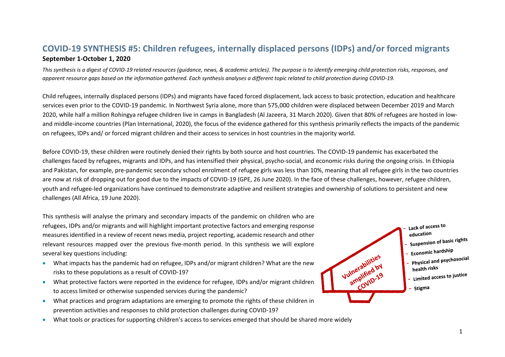# **COVID-19 SYNTHESIS #5: Children refugees, internally displaced persons (IDPs) and/or forced migrants September 1-October 1, 2020**

*This synthesis is a digest of COVID-19 related resources (guidance, news, & academic articles). The purpose is to identify emerging child protection risks, responses, and apparent resource gaps based on the information gathered. Each synthesis analyses a different topic related to child protection during COVID-19.*

Child refugees, internally displaced persons (IDPs) and migrants have faced forced displacement, lack access to basic protection, education and healthcare services even prior to the COVID-19 pandemic. In Northwest Syria alone, more than 575,000 children were displaced between December 2019 and March 2020, while half a million Rohingya refugee children live in camps in Bangladesh (Al Jazeera, 31 March 2020). Given that 80% of refugees are hosted in lowand middle-income countries (Plan International, 2020), the focus of the evidence gathered for this synthesis primarily reflects the impacts of the pandemic on refugees, IDPs and/ or forced migrant children and their access to services in host countries in the majority world.

Before COVID-19, these children were routinely denied their rights by both source and host countries. The COVID-19 pandemic has exacerbated the challenges faced by refugees, migrants and IDPs, and has intensified their physical, psycho-social, and economic risks during the ongoing crisis. In Ethiopia and Pakistan, for example, pre-pandemic secondary school enrolment of refugee girls was less than 10%, meaning that all refugee girls in the two countries are now at risk of dropping out for good due to the impacts of COVID-19 (GPE, 26 June 2020). In the face of these challenges, however, refugee children, youth and refugee-led organizations have continued to demonstrate adaptive and resilient strategies and ownership of solutions to persistent and new challenges (All Africa, 19 June 2020).

This synthesis will analyse the primary and secondary impacts of the pandemic on children who are refugees, IDPs and/or migrants and will highlight important protective factors and emerging response measures identified in a review of recent news media, project reporting, academic research and other relevant resources mapped over the previous five-month period. In this synthesis we will explore several key questions including:

- What impacts has the pandemic had on refugee, IDPs and/or migrant children? What are the new risks to these populations as a result of COVID-19?
- What protective factors were reported in the evidence for refugee, IDPs and/or migrant children to access limited or otherwise suspended services during the pandemic?
- What practices and program adaptations are emerging to promote the rights of these children in prevention activities and responses to child protection challenges during COVID-19?
- What tools or practices for supporting children's access to services emerged that should be shared more widely

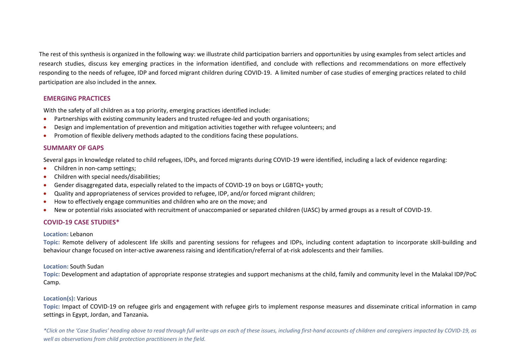The rest of this synthesis is organized in the following way: we illustrate child participation barriers and opportunities by using examples from select articles and research studies, discuss key emerging practices in the information identified, and conclude with reflections and recommendations on more effectively responding to the needs of refugee, IDP and forced migrant children during COVID-19. A limited number of case studies of emerging practices related to child participation are also included in the annex.

### **EMERGING PRACTICES**

With the safety of all children as a top priority, emerging practices identified include:

- Partnerships with existing community leaders and trusted refugee-led and youth organisations;
- Design and implementation of prevention and mitigation activities together with refugee volunteers; and
- Promotion of flexible delivery methods adapted to the conditions facing these populations.

### **[SUMMARY OF GAPS](#page-11-0)**

Several gaps in knowledge related to child refugees, IDPs, and forced migrants during COVID-19 were identified, including a lack of evidence regarding:

- Children in non-camp settings;
- Children with special needs/disabilities;
- Gender disaggregated data, especially related to the impacts of COVID-19 on boys or LGBTQ+ youth;
- Quality and appropriateness of services provided to refugee, IDP, and/or forced migrant children;
- How to effectively engage communities and children who are on the move; and
- New or potential risks associated with recruitment of unaccompanied or separated children (UASC) by armed groups as a result of COVID-19.

### **COVID-19 CASE STUDIES\***

### **Location:** Lebanon

**Topic:** Remote delivery of adolescent life skills and parenting sessions for refugees and IDPs, including content adaptation to incorporate skill-building and behaviour change focused on inter-active awareness raising and identification/referral of at-risk adolescents and their families.

### **Location:** South Sudan

**Topic:** Development and adaptation of appropriate response strategies and support mechanisms at the child, family and community level in the Malakal IDP/PoC Camp.

### **Location(s):** Various

**Topic:** Impact of COVID-19 on refugee girls and engagement with refugee girls to implement response measures and disseminate critical information in camp settings in Egypt, Jordan, and Tanzania**.** 

2 *\*Click on the 'Case Studies' heading above to read through full write-ups on each of these issues, including first-hand accounts of children and caregivers impacted by COVID-19, as well as observations from child protection practitioners in the field.*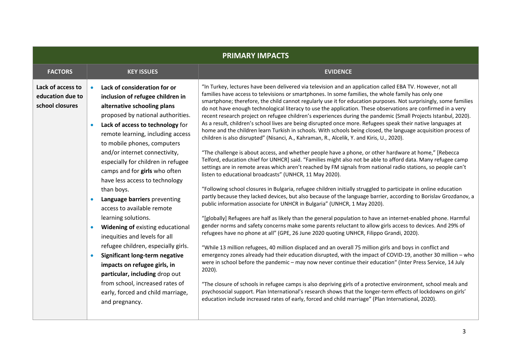| <b>PRIMARY IMPACTS</b>                                   |           |                                                                                                                                                                                                                                                                                                                                                                                                                                                                                                                                                                                                                                                                                                                                                                                                     |                                                                                                                                                                                                                                                                                                                                                                                                                                                                                                                                                                                                                                                                                                                                                                                                                                                                                                                                                                                                                                                                                                                                                                                                                                                                                                                                                                                                                                                                                                                                                                                                                                                                                                                                                                                                                                                                                                                                                                                                                                                                                                                                                                                                                                                                                                                                                                                                                                                                                                                                                                                                                                                           |
|----------------------------------------------------------|-----------|-----------------------------------------------------------------------------------------------------------------------------------------------------------------------------------------------------------------------------------------------------------------------------------------------------------------------------------------------------------------------------------------------------------------------------------------------------------------------------------------------------------------------------------------------------------------------------------------------------------------------------------------------------------------------------------------------------------------------------------------------------------------------------------------------------|-----------------------------------------------------------------------------------------------------------------------------------------------------------------------------------------------------------------------------------------------------------------------------------------------------------------------------------------------------------------------------------------------------------------------------------------------------------------------------------------------------------------------------------------------------------------------------------------------------------------------------------------------------------------------------------------------------------------------------------------------------------------------------------------------------------------------------------------------------------------------------------------------------------------------------------------------------------------------------------------------------------------------------------------------------------------------------------------------------------------------------------------------------------------------------------------------------------------------------------------------------------------------------------------------------------------------------------------------------------------------------------------------------------------------------------------------------------------------------------------------------------------------------------------------------------------------------------------------------------------------------------------------------------------------------------------------------------------------------------------------------------------------------------------------------------------------------------------------------------------------------------------------------------------------------------------------------------------------------------------------------------------------------------------------------------------------------------------------------------------------------------------------------------------------------------------------------------------------------------------------------------------------------------------------------------------------------------------------------------------------------------------------------------------------------------------------------------------------------------------------------------------------------------------------------------------------------------------------------------------------------------------------------------|
| <b>FACTORS</b>                                           |           | <b>KEY ISSUES</b>                                                                                                                                                                                                                                                                                                                                                                                                                                                                                                                                                                                                                                                                                                                                                                                   | <b>EVIDENCE</b>                                                                                                                                                                                                                                                                                                                                                                                                                                                                                                                                                                                                                                                                                                                                                                                                                                                                                                                                                                                                                                                                                                                                                                                                                                                                                                                                                                                                                                                                                                                                                                                                                                                                                                                                                                                                                                                                                                                                                                                                                                                                                                                                                                                                                                                                                                                                                                                                                                                                                                                                                                                                                                           |
| Lack of access to<br>education due to<br>school closures | $\bullet$ | Lack of consideration for or<br>inclusion of refugee children in<br>alternative schooling plans<br>proposed by national authorities.<br>Lack of access to technology for<br>remote learning, including access<br>to mobile phones, computers<br>and/or internet connectivity,<br>especially for children in refugee<br>camps and for girls who often<br>have less access to technology<br>than boys.<br>Language barriers preventing<br>access to available remote<br>learning solutions.<br>Widening of existing educational<br>inequities and levels for all<br>refugee children, especially girls.<br>Significant long-term negative<br>impacts on refugee girls, in<br>particular, including drop out<br>from school, increased rates of<br>early, forced and child marriage,<br>and pregnancy. | "In Turkey, lectures have been delivered via television and an application called EBA TV. However, not all<br>families have access to televisions or smartphones. In some families, the whole family has only one<br>smartphone; therefore, the child cannot regularly use it for education purposes. Not surprisingly, some families<br>do not have enough technological literacy to use the application. These observations are confirmed in a very<br>recent research project on refugee children's experiences during the pandemic (Small Projects Istanbul, 2020).<br>As a result, children's school lives are being disrupted once more. Refugees speak their native languages at<br>home and the children learn Turkish in schools. With schools being closed, the language acquisition process of<br>children is also disrupted" (Nisanci, A., Kahraman, R., Alcelik, Y. and Kiris, U., 2020).<br>"The challenge is about access, and whether people have a phone, or other hardware at home," [Rebecca<br>Telford, education chief for UNHCR] said. "Families might also not be able to afford data. Many refugee camp<br>settings are in remote areas which aren't reached by FM signals from national radio stations, so people can't<br>listen to educational broadcasts" (UNHCR, 11 May 2020).<br>"Following school closures in Bulgaria, refugee children initially struggled to participate in online education<br>partly because they lacked devices, but also because of the language barrier, according to Borislav Grozdanov, a<br>public information associate for UNHCR in Bulgaria" (UNHCR, 1 May 2020).<br>"[globally] Refugees are half as likely than the general population to have an internet-enabled phone. Harmful<br>gender norms and safety concerns make some parents reluctant to allow girls access to devices. And 29% of<br>refugees have no phone at all" (GPE, 26 June 2020 quoting UNHCR, Filippo Grandi, 2020).<br>"While 13 million refugees, 40 million displaced and an overall 75 million girls and boys in conflict and<br>emergency zones already had their education disrupted, with the impact of COVID-19, another 30 million - who<br>were in school before the pandemic - may now never continue their education" (Inter Press Service, 14 July<br>$2020$ ).<br>"The closure of schools in refugee camps is also depriving girls of a protective environment, school meals and<br>psychosocial support. Plan International's research shows that the longer-term effects of lockdowns on girls'<br>education include increased rates of early, forced and child marriage" (Plan International, 2020). |
|                                                          |           |                                                                                                                                                                                                                                                                                                                                                                                                                                                                                                                                                                                                                                                                                                                                                                                                     |                                                                                                                                                                                                                                                                                                                                                                                                                                                                                                                                                                                                                                                                                                                                                                                                                                                                                                                                                                                                                                                                                                                                                                                                                                                                                                                                                                                                                                                                                                                                                                                                                                                                                                                                                                                                                                                                                                                                                                                                                                                                                                                                                                                                                                                                                                                                                                                                                                                                                                                                                                                                                                                           |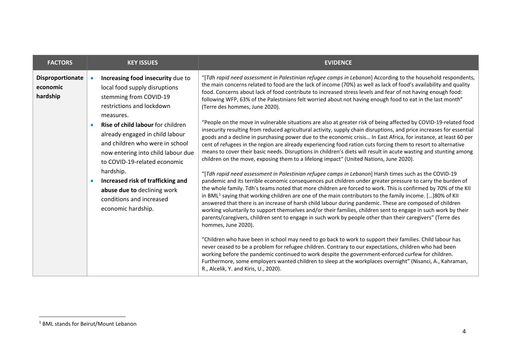<span id="page-3-0"></span>

| "[Tdh rapid need assessment in Palestinian refugee camps in Lebanon] According to the household respondents,<br>Disproportionate<br>Increasing food insecurity due to<br>the main concerns related to food are the lack of income (70%) as well as lack of food's availability and quality<br>local food supply disruptions<br>economic<br>food. Concerns about lack of food contribute to increased stress levels and fear of not having enough food:<br>hardship<br>stemming from COVID-19<br>following WFP, 63% of the Palestinians felt worried about not having enough food to eat in the last month"<br>restrictions and lockdown<br>(Terre des hommes, June 2020).<br>measures.<br>"People on the move in vulnerable situations are also at greater risk of being affected by COVID-19-related food<br><b>Rise of child labour for children</b><br>insecurity resulting from reduced agricultural activity, supply chain disruptions, and price increases for essential<br>already engaged in child labour<br>goods and a decline in purchasing power due to the economic crisis In East Africa, for instance, at least 60 per<br>and children who were in school<br>cent of refugees in the region are already experiencing food ration cuts forcing them to resort to alternative<br>means to cover their basic needs. Disruptions in children's diets will result in acute wasting and stunting among<br>now entering into child labour due<br>children on the move, exposing them to a lifelong impact" (United Nations, June 2020).<br>to COVID-19-related economic<br>hardship.<br>"[Tdh rapid need assessment in Palestinian refugee camps in Lebanon] Harsh times such as the COVID-19<br>Increased risk of trafficking and<br>pandemic and its terrible economic consequences put children under greater pressure to carry the burden of<br>the whole family. Tdh's teams noted that more children are forced to work. This is confirmed by 70% of the KII<br>abuse due to declining work<br>in BML <sup>1</sup> saying that working children are one of the main contributors to the family income. []80% of KII<br>conditions and increased<br>answered that there is an increase of harsh child labour during pandemic. These are composed of children<br>economic hardship.<br>working voluntarily to support themselves and/or their families, children sent to engage in such work by their<br>parents/caregivers, children sent to engage in such work by people other than their caregivers" (Terre des<br>hommes, June 2020).<br>"Children who have been in school may need to go back to work to support their families. Child labour has<br>never ceased to be a problem for refugee children. Contrary to our expectations, children who had been<br>working before the pandemic continued to work despite the government-enforced curfew for children. | <b>FACTORS</b> | <b>KEY ISSUES</b> | <b>EVIDENCE</b>                                                                                           |
|-------------------------------------------------------------------------------------------------------------------------------------------------------------------------------------------------------------------------------------------------------------------------------------------------------------------------------------------------------------------------------------------------------------------------------------------------------------------------------------------------------------------------------------------------------------------------------------------------------------------------------------------------------------------------------------------------------------------------------------------------------------------------------------------------------------------------------------------------------------------------------------------------------------------------------------------------------------------------------------------------------------------------------------------------------------------------------------------------------------------------------------------------------------------------------------------------------------------------------------------------------------------------------------------------------------------------------------------------------------------------------------------------------------------------------------------------------------------------------------------------------------------------------------------------------------------------------------------------------------------------------------------------------------------------------------------------------------------------------------------------------------------------------------------------------------------------------------------------------------------------------------------------------------------------------------------------------------------------------------------------------------------------------------------------------------------------------------------------------------------------------------------------------------------------------------------------------------------------------------------------------------------------------------------------------------------------------------------------------------------------------------------------------------------------------------------------------------------------------------------------------------------------------------------------------------------------------------------------------------------------------------------------------------------------------------------------------------------------------------------------------------------------------------------------------------------------------------------------------------------------------------|----------------|-------------------|-----------------------------------------------------------------------------------------------------------|
|                                                                                                                                                                                                                                                                                                                                                                                                                                                                                                                                                                                                                                                                                                                                                                                                                                                                                                                                                                                                                                                                                                                                                                                                                                                                                                                                                                                                                                                                                                                                                                                                                                                                                                                                                                                                                                                                                                                                                                                                                                                                                                                                                                                                                                                                                                                                                                                                                                                                                                                                                                                                                                                                                                                                                                                                                                                                                     |                |                   | Furthermore, some employers wanted children to sleep at the workplaces overnight" (Nisanci, A., Kahraman, |

<u>.</u>

<sup>1</sup> BML stands for Beirut/Mount Lebanon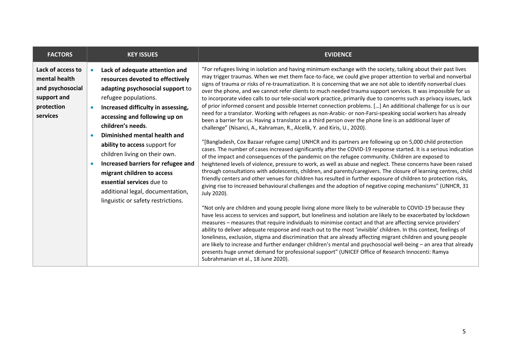| <b>FACTORS</b>                                                        |           | <b>KEY ISSUES</b>                                                                                                                 | <b>EVIDENCE</b>                                                                                                                                                                                                                                                                                                                                                                                                                                                                                                                                                                                                                                                                                                                                                                                                                                  |
|-----------------------------------------------------------------------|-----------|-----------------------------------------------------------------------------------------------------------------------------------|--------------------------------------------------------------------------------------------------------------------------------------------------------------------------------------------------------------------------------------------------------------------------------------------------------------------------------------------------------------------------------------------------------------------------------------------------------------------------------------------------------------------------------------------------------------------------------------------------------------------------------------------------------------------------------------------------------------------------------------------------------------------------------------------------------------------------------------------------|
| Lack of access to<br>mental health<br>and psychosocial<br>support and | $\bullet$ | Lack of adequate attention and<br>resources devoted to effectively<br>adapting psychosocial support to<br>refugee populations.    | "For refugees living in isolation and having minimum exchange with the society, talking about their past lives<br>may trigger traumas. When we met them face-to-face, we could give proper attention to verbal and nonverbal<br>signs of trauma or risks of re-traumatization. It is concerning that we are not able to identify nonverbal clues<br>over the phone, and we cannot refer clients to much needed trauma support services. It was impossible for us<br>to incorporate video calls to our tele-social work practice, primarily due to concerns such as privacy issues, lack                                                                                                                                                                                                                                                          |
| protection<br>services                                                | $\bullet$ | Increased difficulty in assessing,<br>accessing and following up on<br>children's needs.                                          | of prior informed consent and possible Internet connection problems. [] An additional challenge for us is our<br>need for a translator. Working with refugees as non-Arabic- or non-Farsi-speaking social workers has already<br>been a barrier for us. Having a translator as a third person over the phone line is an additional layer of<br>challenge" (Nisanci, A., Kahraman, R., Alcelik, Y. and Kiris, U., 2020).                                                                                                                                                                                                                                                                                                                                                                                                                          |
|                                                                       |           | Diminished mental health and<br>ability to access support for<br>children living on their own.                                    | "[Bangladesh, Cox Bazaar refugee camp] UNHCR and its partners are following up on 5,000 child protection<br>cases. The number of cases increased significantly after the COVID-19 response started. It is a serious indication<br>of the impact and consequences of the pandemic on the refugee community. Children are exposed to                                                                                                                                                                                                                                                                                                                                                                                                                                                                                                               |
|                                                                       |           | Increased barriers for refugee and<br>migrant children to access<br>essential services due to<br>additional legal, documentation, | heightened levels of violence, pressure to work, as well as abuse and neglect. These concerns have been raised<br>through consultations with adolescents, children, and parents/caregivers. The closure of learning centres, child<br>friendly centers and other venues for children has resulted in further exposure of children to protection risks,<br>giving rise to increased behavioural challenges and the adoption of negative coping mechanisms" (UNHCR, 31<br>July 2020).                                                                                                                                                                                                                                                                                                                                                              |
|                                                                       |           | linguistic or safety restrictions.                                                                                                | "Not only are children and young people living alone more likely to be vulnerable to COVID-19 because they<br>have less access to services and support, but loneliness and isolation are likely to be exacerbated by lockdown<br>measures - measures that require individuals to minimise contact and that are affecting service providers'<br>ability to deliver adequate response and reach out to the most 'invisible' children. In this context, feelings of<br>loneliness, exclusion, stigma and discrimination that are already affecting migrant children and young people<br>are likely to increase and further endanger children's mental and psychosocial well-being - an area that already<br>presents huge unmet demand for professional support" (UNICEF Office of Research Innocenti: Ramya<br>Subrahmanian et al., 18 June 2020). |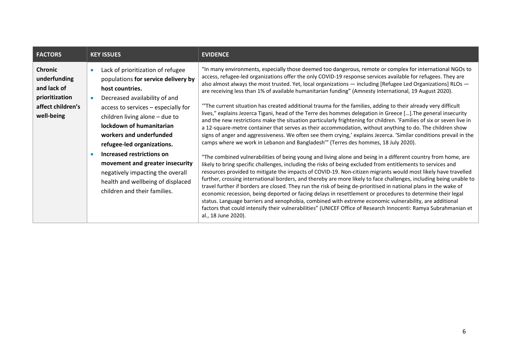| <b>FACTORS</b>                                                                                     | <b>KEY ISSUES</b>                                                                                                                                                                                                                                                                                                                                                                                                                                                   | <b>EVIDENCE</b>                                                                                                                                                                                                                                                                                                                                                                                                                                                                                                                                                                                                                                                                                                                                                                                                                                                                                                                                                                                                                                                                                                                                                                                                                                                                                                                                                                                                                                                                                                                                                                                                                                                                                                                                                                                                                                                                                                                                                                                                                                                                                     |
|----------------------------------------------------------------------------------------------------|---------------------------------------------------------------------------------------------------------------------------------------------------------------------------------------------------------------------------------------------------------------------------------------------------------------------------------------------------------------------------------------------------------------------------------------------------------------------|-----------------------------------------------------------------------------------------------------------------------------------------------------------------------------------------------------------------------------------------------------------------------------------------------------------------------------------------------------------------------------------------------------------------------------------------------------------------------------------------------------------------------------------------------------------------------------------------------------------------------------------------------------------------------------------------------------------------------------------------------------------------------------------------------------------------------------------------------------------------------------------------------------------------------------------------------------------------------------------------------------------------------------------------------------------------------------------------------------------------------------------------------------------------------------------------------------------------------------------------------------------------------------------------------------------------------------------------------------------------------------------------------------------------------------------------------------------------------------------------------------------------------------------------------------------------------------------------------------------------------------------------------------------------------------------------------------------------------------------------------------------------------------------------------------------------------------------------------------------------------------------------------------------------------------------------------------------------------------------------------------------------------------------------------------------------------------------------------------|
| <b>Chronic</b><br>underfunding<br>and lack of<br>prioritization<br>affect children's<br>well-being | Lack of prioritization of refugee<br>populations for service delivery by<br>host countries.<br>Decreased availability of and<br>access to services - especially for<br>children living alone - due to<br>lockdown of humanitarian<br>workers and underfunded<br>refugee-led organizations.<br>Increased restrictions on<br>movement and greater insecurity<br>negatively impacting the overall<br>health and wellbeing of displaced<br>children and their families. | "In many environments, especially those deemed too dangerous, remote or complex for international NGOs to<br>access, refugee-led organizations offer the only COVID-19 response services available for refugees. They are<br>also almost always the most trusted. Yet, local organizations - including [Refugee Led Organizations] RLOs -<br>are receiving less than 1% of available humanitarian funding" (Amnesty International, 19 August 2020).<br>"The current situation has created additional trauma for the families, adding to their already very difficult<br>lives," explains Jezerca Tigani, head of the Terre des hommes delegation in Greece []. The general insecurity<br>and the new restrictions make the situation particularly frightening for children. 'Families of six or seven live in<br>a 12-square-metre container that serves as their accommodation, without anything to do. The children show<br>signs of anger and aggressiveness. We often see them crying,' explains Jezerca. 'Similar conditions prevail in the<br>camps where we work in Lebanon and Bangladesh" (Terres des hommes, 18 July 2020).<br>"The combined vulnerabilities of being young and living alone and being in a different country from home, are<br>likely to bring specific challenges, including the risks of being excluded from entitlements to services and<br>resources provided to mitigate the impacts of COVID-19. Non-citizen migrants would most likely have travelled<br>further, crossing international borders, and thereby are more likely to face challenges, including being unable to<br>travel further if borders are closed. They run the risk of being de-prioritised in national plans in the wake of<br>economic recession, being deported or facing delays in resettlement or procedures to determine their legal<br>status. Language barriers and xenophobia, combined with extreme economic vulnerability, are additional<br>factors that could intensify their vulnerabilities" (UNICEF Office of Research Innocenti: Ramya Subrahmanian et<br>al., 18 June 2020). |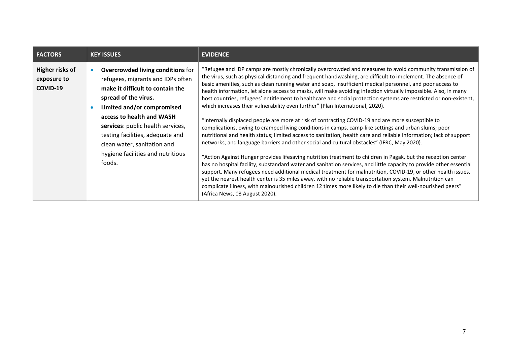| <b>FACTORS</b>                             | <b>KEY ISSUES</b>                                                                                                                                                                                                                                                                                                                                           | <b>EVIDENCE</b>                                                                                                                                                                                                                                                                                                                                                                                                                                                                                                                                                                                                                                                                                                                                                                                                                                                                                                                                                                                                                                                                                                                                                                                                                                                                                                                                                                                                                                                                                                                                                                                                                                                                                                      |
|--------------------------------------------|-------------------------------------------------------------------------------------------------------------------------------------------------------------------------------------------------------------------------------------------------------------------------------------------------------------------------------------------------------------|----------------------------------------------------------------------------------------------------------------------------------------------------------------------------------------------------------------------------------------------------------------------------------------------------------------------------------------------------------------------------------------------------------------------------------------------------------------------------------------------------------------------------------------------------------------------------------------------------------------------------------------------------------------------------------------------------------------------------------------------------------------------------------------------------------------------------------------------------------------------------------------------------------------------------------------------------------------------------------------------------------------------------------------------------------------------------------------------------------------------------------------------------------------------------------------------------------------------------------------------------------------------------------------------------------------------------------------------------------------------------------------------------------------------------------------------------------------------------------------------------------------------------------------------------------------------------------------------------------------------------------------------------------------------------------------------------------------------|
| Higher risks of<br>exposure to<br>COVID-19 | <b>Overcrowded living conditions for</b><br>refugees, migrants and IDPs often<br>make it difficult to contain the<br>spread of the virus.<br>Limited and/or compromised<br>access to health and WASH<br>services: public health services,<br>testing facilities, adequate and<br>clean water, sanitation and<br>hygiene facilities and nutritious<br>foods. | "Refugee and IDP camps are mostly chronically overcrowded and measures to avoid community transmission of<br>the virus, such as physical distancing and frequent handwashing, are difficult to implement. The absence of<br>basic amenities, such as clean running water and soap, insufficient medical personnel, and poor access to<br>health information, let alone access to masks, will make avoiding infection virtually impossible. Also, in many<br>host countries, refugees' entitlement to healthcare and social protection systems are restricted or non-existent,<br>which increases their vulnerability even further" (Plan International, 2020).<br>"Internally displaced people are more at risk of contracting COVID-19 and are more susceptible to<br>complications, owing to cramped living conditions in camps, camp-like settings and urban slums; poor<br>nutritional and health status; limited access to sanitation, health care and reliable information; lack of support<br>networks; and language barriers and other social and cultural obstacles" (IFRC, May 2020).<br>"Action Against Hunger provides lifesaving nutrition treatment to children in Pagak, but the reception center<br>has no hospital facility, substandard water and sanitation services, and little capacity to provide other essential<br>support. Many refugees need additional medical treatment for malnutrition, COVID-19, or other health issues,<br>yet the nearest health center is 35 miles away, with no reliable transportation system. Malnutrition can<br>complicate illness, with malnourished children 12 times more likely to die than their well-nourished peers"<br>(Africa News, 08 August 2020). |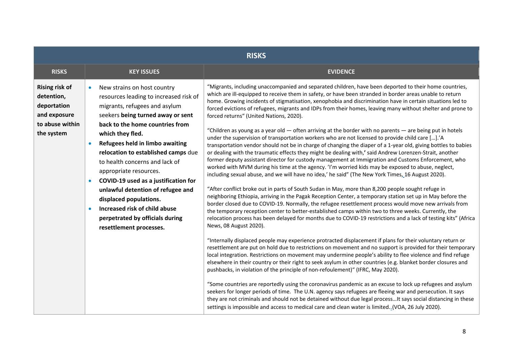|                                                                                                     | <b>RISKS</b>                                                                                                                                                                                                                                                                                                                                                                                                                                                                                                                                                                                       |                                                                                                                                                                                                                                                                                                                                                                                                                                                                                                                                                                                                                                                                                                                                                                                                                                                                                                                                                                                                                                                                                                                                                                                                                                                                                                                                                                                                                                                                                                                                                                                                                                                                                                                                                                                                                                                                                                                                                                                                                                                                                                                                                                                                                                                                                                                                                                                                                                                                                                                                                                                                                                                                                                                                                                                                                                                 |  |
|-----------------------------------------------------------------------------------------------------|----------------------------------------------------------------------------------------------------------------------------------------------------------------------------------------------------------------------------------------------------------------------------------------------------------------------------------------------------------------------------------------------------------------------------------------------------------------------------------------------------------------------------------------------------------------------------------------------------|-------------------------------------------------------------------------------------------------------------------------------------------------------------------------------------------------------------------------------------------------------------------------------------------------------------------------------------------------------------------------------------------------------------------------------------------------------------------------------------------------------------------------------------------------------------------------------------------------------------------------------------------------------------------------------------------------------------------------------------------------------------------------------------------------------------------------------------------------------------------------------------------------------------------------------------------------------------------------------------------------------------------------------------------------------------------------------------------------------------------------------------------------------------------------------------------------------------------------------------------------------------------------------------------------------------------------------------------------------------------------------------------------------------------------------------------------------------------------------------------------------------------------------------------------------------------------------------------------------------------------------------------------------------------------------------------------------------------------------------------------------------------------------------------------------------------------------------------------------------------------------------------------------------------------------------------------------------------------------------------------------------------------------------------------------------------------------------------------------------------------------------------------------------------------------------------------------------------------------------------------------------------------------------------------------------------------------------------------------------------------------------------------------------------------------------------------------------------------------------------------------------------------------------------------------------------------------------------------------------------------------------------------------------------------------------------------------------------------------------------------------------------------------------------------------------------------------------------------|--|
| <b>RISKS</b>                                                                                        | <b>KEY ISSUES</b>                                                                                                                                                                                                                                                                                                                                                                                                                                                                                                                                                                                  | <b>EVIDENCE</b>                                                                                                                                                                                                                                                                                                                                                                                                                                                                                                                                                                                                                                                                                                                                                                                                                                                                                                                                                                                                                                                                                                                                                                                                                                                                                                                                                                                                                                                                                                                                                                                                                                                                                                                                                                                                                                                                                                                                                                                                                                                                                                                                                                                                                                                                                                                                                                                                                                                                                                                                                                                                                                                                                                                                                                                                                                 |  |
| <b>Rising risk of</b><br>detention,<br>deportation<br>and exposure<br>to abuse within<br>the system | New strains on host country<br>$\bullet$<br>resources leading to increased risk of<br>migrants, refugees and asylum<br>seekers being turned away or sent<br>back to the home countries from<br>which they fled.<br>Refugees held in limbo awaiting<br>$\bullet$<br>relocation to established camps due<br>to health concerns and lack of<br>appropriate resources.<br>COVID-19 used as a justification for<br>$\bullet$<br>unlawful detention of refugee and<br>displaced populations.<br>Increased risk of child abuse<br>$\bullet$<br>perpetrated by officials during<br>resettlement processes. | "Migrants, including unaccompanied and separated children, have been deported to their home countries,<br>which are ill-equipped to receive them in safety, or have been stranded in border areas unable to return<br>home. Growing incidents of stigmatisation, xenophobia and discrimination have in certain situations led to<br>forced evictions of refugees, migrants and IDPs from their homes, leaving many without shelter and prone to<br>forced returns" (United Nations, 2020).<br>"Children as young as a year old — often arriving at the border with no parents — are being put in hotels<br>under the supervision of transportation workers who are not licensed to provide child care [].'A<br>transportation vendor should not be in charge of changing the diaper of a 1-year old, giving bottles to babies<br>or dealing with the traumatic effects they might be dealing with,' said Andrew Lorenzen-Strait, another<br>former deputy assistant director for custody management at Immigration and Customs Enforcement, who<br>worked with MVM during his time at the agency. 'I'm worried kids may be exposed to abuse, neglect,<br>including sexual abuse, and we will have no idea,' he said" (The New York Times, 16 August 2020).<br>"After conflict broke out in parts of South Sudan in May, more than 8,200 people sought refuge in<br>neighboring Ethiopia, arriving in the Pagak Reception Center, a temporary station set up in May before the<br>border closed due to COVID-19. Normally, the refugee resettlement process would move new arrivals from<br>the temporary reception center to better-established camps within two to three weeks. Currently, the<br>relocation process has been delayed for months due to COVID-19 restrictions and a lack of testing kits" (Africa<br>News, 08 August 2020).<br>"Internally displaced people may experience protracted displacement if plans for their voluntary return or<br>resettlement are put on hold due to restrictions on movement and no support is provided for their temporary<br>local integration. Restrictions on movement may undermine people's ability to flee violence and find refuge<br>elsewhere in their country or their right to seek asylum in other countries (e.g. blanket border closures and<br>pushbacks, in violation of the principle of non-refoulement)" (IFRC, May 2020).<br>"Some countries are reportedly using the coronavirus pandemic as an excuse to lock up refugees and asylum<br>seekers for longer periods of time. The U.N. agency says refugees are fleeing war and persecution. It says<br>they are not criminals and should not be detained without due legal process It says social distancing in these<br>settings is impossible and access to medical care and clean water is limited. (VOA, 26 July 2020). |  |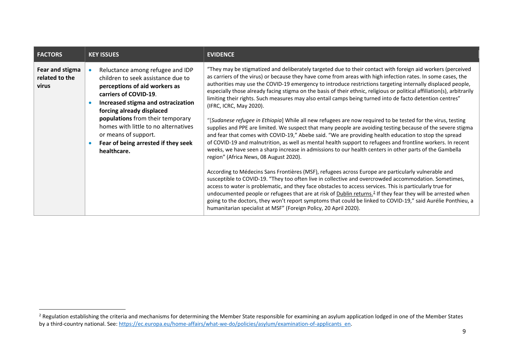<span id="page-8-0"></span>

| <b>FACTORS</b>                             | <b>KEY ISSUES</b>                                                                                                                                                                                                                                                                                                                                             | <b>EVIDENCE</b>                                                                                                                                                                                                                                                                                                                                                                                                                                                                                                                                                                                                                                                                                                                                                                                                                                                                                                                                                                                                                                                                                                                                                                                                                                                                                                                                                                                                                                                                                                                                                                                                                                                                                                                                                                                                                                                             |
|--------------------------------------------|---------------------------------------------------------------------------------------------------------------------------------------------------------------------------------------------------------------------------------------------------------------------------------------------------------------------------------------------------------------|-----------------------------------------------------------------------------------------------------------------------------------------------------------------------------------------------------------------------------------------------------------------------------------------------------------------------------------------------------------------------------------------------------------------------------------------------------------------------------------------------------------------------------------------------------------------------------------------------------------------------------------------------------------------------------------------------------------------------------------------------------------------------------------------------------------------------------------------------------------------------------------------------------------------------------------------------------------------------------------------------------------------------------------------------------------------------------------------------------------------------------------------------------------------------------------------------------------------------------------------------------------------------------------------------------------------------------------------------------------------------------------------------------------------------------------------------------------------------------------------------------------------------------------------------------------------------------------------------------------------------------------------------------------------------------------------------------------------------------------------------------------------------------------------------------------------------------------------------------------------------------|
| Fear and stigma<br>related to the<br>virus | Reluctance among refugee and IDP<br>children to seek assistance due to<br>perceptions of aid workers as<br>carriers of COVID-19.<br>Increased stigma and ostracization<br>forcing already displaced<br>populations from their temporary<br>homes with little to no alternatives<br>or means of support.<br>Fear of being arrested if they seek<br>healthcare. | "They may be stigmatized and deliberately targeted due to their contact with foreign aid workers (perceived<br>as carriers of the virus) or because they have come from areas with high infection rates. In some cases, the<br>authorities may use the COVID-19 emergency to introduce restrictions targeting internally displaced people,<br>especially those already facing stigma on the basis of their ethnic, religious or political affiliation(s), arbitrarily<br>limiting their rights. Such measures may also entail camps being turned into de facto detention centres"<br>(IFRC, ICRC, May 2020).<br>"[Sudanese refugee in Ethiopia] While all new refugees are now required to be tested for the virus, testing<br>supplies and PPE are limited. We suspect that many people are avoiding testing because of the severe stigma<br>and fear that comes with COVID-19," Abebe said. "We are providing health education to stop the spread<br>of COVID-19 and malnutrition, as well as mental health support to refugees and frontline workers. In recent<br>weeks, we have seen a sharp increase in admissions to our health centers in other parts of the Gambella<br>region" (Africa News, 08 August 2020).<br>According to Médecins Sans Frontières (MSF), refugees across Europe are particularly vulnerable and<br>susceptible to COVID-19. "They too often live in collective and overcrowded accommodation. Sometimes,<br>access to water is problematic, and they face obstacles to access services. This is particularly true for<br>undocumented people or refugees that are at risk of <b>Dublin returns.</b> <sup>2</sup> If they fear they will be arrested when<br>going to the doctors, they won't report symptoms that could be linked to COVID-19," said Aurélie Ponthieu, a<br>humanitarian specialist at MSF" (Foreign Policy, 20 April 2020). |

-

 $^2$  Regulation establishing the criteria and mechanisms for determining the Member State responsible for examining an asylum application lodged in one of the Member States by a third-country national. See: [https://ec.europa.eu/home-affairs/what-we-do/policies/asylum/examination-of-applicants\\_en.](https://ec.europa.eu/home-affairs/what-we-do/policies/asylum/examination-of-applicants_en)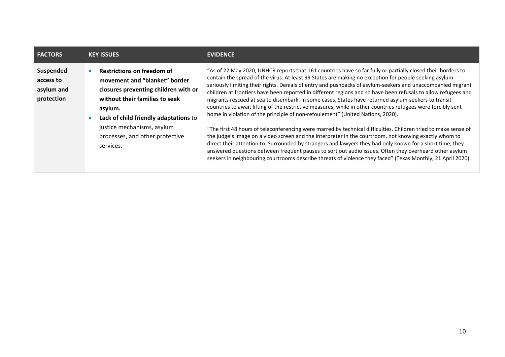| <b>FACTORS</b>                                     | <b>KEY ISSUES</b>                                                                                                                                                                                                                                                              | <b>EVIDENCE</b>                                                                                                                                                                                                                                                                                                                                                                                                                                                                                                                                                                                                                                                                                                                                                                                                                                                                                                                                                                                                                                                                                                                                                                                                                                                                                                                |
|----------------------------------------------------|--------------------------------------------------------------------------------------------------------------------------------------------------------------------------------------------------------------------------------------------------------------------------------|--------------------------------------------------------------------------------------------------------------------------------------------------------------------------------------------------------------------------------------------------------------------------------------------------------------------------------------------------------------------------------------------------------------------------------------------------------------------------------------------------------------------------------------------------------------------------------------------------------------------------------------------------------------------------------------------------------------------------------------------------------------------------------------------------------------------------------------------------------------------------------------------------------------------------------------------------------------------------------------------------------------------------------------------------------------------------------------------------------------------------------------------------------------------------------------------------------------------------------------------------------------------------------------------------------------------------------|
| Suspended<br>access to<br>asylum and<br>protection | <b>Restrictions on freedom of</b><br>movement and "blanket" border<br>closures preventing children with or<br>without their families to seek<br>asylum.<br>Lack of child friendly adaptations to<br>justice mechanisms, asylum<br>processes, and other protective<br>services. | "As of 22 May 2020, UNHCR reports that 161 countries have so far fully or partially closed their borders to<br>contain the spread of the virus. At least 99 States are making no exception for people seeking asylum<br>seriously limiting their rights. Denials of entry and pushbacks of asylum-seekers and unaccompanied migrant<br>children at frontiers have been reported in different regions and so have been refusals to allow refugees and<br>migrants rescued at sea to disembark. In some cases, States have returned asylum-seekers to transit<br>countries to await lifting of the restrictive measures, while in other countries refugees were forcibly sent<br>home in violation of the principle of non-refoulement" (United Nations, 2020).<br>"The first 48 hours of teleconferencing were marred by technical difficulties. Children tried to make sense of<br>the judge's image on a video screen and the interpreter in the courtroom, not knowing exactly whom to<br>direct their attention to. Surrounded by strangers and lawyers they had only known for a short time, they<br>answered questions between frequent pauses to sort out audio issues. Often they overheard other asylum<br>seekers in neighbouring courtrooms describe threats of violence they faced" (Texas Monthly, 21 April 2020). |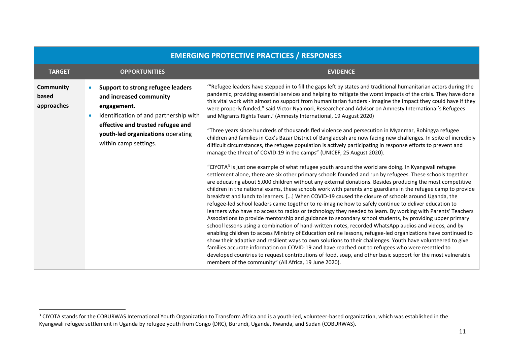<span id="page-10-0"></span>

| <b>EMERGING PROTECTIVE PRACTICES / RESPONSES</b> |                                                                                                                                                                                                                                                    |                                                                                                                                                                                                                                                                                                                                                                                                                                                                                                                                                                                                                                                                                                                                                                                                                                                                                                                                                                                                                                                                                                                                                                                                                                                                                                                                                                                                                                                                                                                                                                                                                                                                                                                                                                                                                                                                                                                                                                                                                                                                                                                                                                                                                                                                                                                                                                                                                                                                                     |
|--------------------------------------------------|----------------------------------------------------------------------------------------------------------------------------------------------------------------------------------------------------------------------------------------------------|-------------------------------------------------------------------------------------------------------------------------------------------------------------------------------------------------------------------------------------------------------------------------------------------------------------------------------------------------------------------------------------------------------------------------------------------------------------------------------------------------------------------------------------------------------------------------------------------------------------------------------------------------------------------------------------------------------------------------------------------------------------------------------------------------------------------------------------------------------------------------------------------------------------------------------------------------------------------------------------------------------------------------------------------------------------------------------------------------------------------------------------------------------------------------------------------------------------------------------------------------------------------------------------------------------------------------------------------------------------------------------------------------------------------------------------------------------------------------------------------------------------------------------------------------------------------------------------------------------------------------------------------------------------------------------------------------------------------------------------------------------------------------------------------------------------------------------------------------------------------------------------------------------------------------------------------------------------------------------------------------------------------------------------------------------------------------------------------------------------------------------------------------------------------------------------------------------------------------------------------------------------------------------------------------------------------------------------------------------------------------------------------------------------------------------------------------------------------------------------|
| <b>TARGET</b>                                    | <b>OPPORTUNITIES</b>                                                                                                                                                                                                                               | <b>EVIDENCE</b>                                                                                                                                                                                                                                                                                                                                                                                                                                                                                                                                                                                                                                                                                                                                                                                                                                                                                                                                                                                                                                                                                                                                                                                                                                                                                                                                                                                                                                                                                                                                                                                                                                                                                                                                                                                                                                                                                                                                                                                                                                                                                                                                                                                                                                                                                                                                                                                                                                                                     |
| Community<br>based<br>approaches                 | Support to strong refugee leaders<br>$\bullet$<br>and increased community<br>engagement.<br>Identification of and partnership with<br>$\bullet$<br>effective and trusted refugee and<br>youth-led organizations operating<br>within camp settings. | "Refugee leaders have stepped in to fill the gaps left by states and traditional humanitarian actors during the<br>pandemic, providing essential services and helping to mitigate the worst impacts of the crisis. They have done<br>this vital work with almost no support from humanitarian funders - imagine the impact they could have if they<br>were properly funded," said Victor Nyamori, Researcher and Advisor on Amnesty International's Refugees<br>and Migrants Rights Team.' (Amnesty International, 19 August 2020)<br>"Three years since hundreds of thousands fled violence and persecution in Myanmar, Rohingya refugee<br>children and families in Cox's Bazar District of Bangladesh are now facing new challenges. In spite of incredibly<br>difficult circumstances, the refugee population is actively participating in response efforts to prevent and<br>manage the threat of COVID-19 in the camps" (UNICEF, 25 August 2020).<br>"CIYOTA <sup>3</sup> is just one example of what refugee youth around the world are doing. In Kyangwali refugee<br>settlement alone, there are six other primary schools founded and run by refugees. These schools together<br>are educating about 5,000 children without any external donations. Besides producing the most competitive<br>children in the national exams, these schools work with parents and guardians in the refugee camp to provide<br>breakfast and lunch to learners. [] When COVID-19 caused the closure of schools around Uganda, the<br>refugee-led school leaders came together to re-imagine how to safely continue to deliver education to<br>learners who have no access to radios or technology they needed to learn. By working with Parents' Teachers<br>Associations to provide mentorship and guidance to secondary school students, by providing upper primary<br>school lessons using a combination of hand-written notes, recorded WhatsApp audios and videos, and by<br>enabling children to access Ministry of Education online lessons, refugee-led organizations have continued to<br>show their adaptive and resilient ways to own solutions to their challenges. Youth have volunteered to give<br>families accurate information on COVID-19 and have reached out to refugees who were resettled to<br>developed countries to request contributions of food, soap, and other basic support for the most vulnerable<br>members of the community" (All Africa, 19 June 2020). |

-

<sup>&</sup>lt;sup>3</sup> CIYOTA stands for the COBURWAS International Youth Organization to Transform Africa and is a youth-led, volunteer-based organization, which was established in the Kyangwali refugee settlement in Uganda by refugee youth from Congo (DRC), Burundi, Uganda, Rwanda, and Sudan (COBURWAS).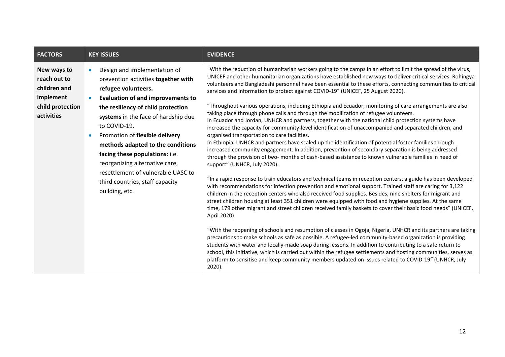<span id="page-11-0"></span>

| <b>FACTORS</b>                                                                             | <b>KEY ISSUES</b>                                                                                                                                                                                                                                                                                                                                                                                                                                                                                                | <b>EVIDENCE</b>                                                                                                                                                                                                                                                                                                                                                                                                                                                                                                                                                                                                                                                                                                                                                                                                                                                                                                                                                                                                                                                                                                                                                                                                                                                                                                                                                                                                                                                                                                                                                                                                                                                                                                                                                                                                                                                                                                                                                                                                                                                                                                                                                                                                                                                                                                                                                                                                                       |
|--------------------------------------------------------------------------------------------|------------------------------------------------------------------------------------------------------------------------------------------------------------------------------------------------------------------------------------------------------------------------------------------------------------------------------------------------------------------------------------------------------------------------------------------------------------------------------------------------------------------|---------------------------------------------------------------------------------------------------------------------------------------------------------------------------------------------------------------------------------------------------------------------------------------------------------------------------------------------------------------------------------------------------------------------------------------------------------------------------------------------------------------------------------------------------------------------------------------------------------------------------------------------------------------------------------------------------------------------------------------------------------------------------------------------------------------------------------------------------------------------------------------------------------------------------------------------------------------------------------------------------------------------------------------------------------------------------------------------------------------------------------------------------------------------------------------------------------------------------------------------------------------------------------------------------------------------------------------------------------------------------------------------------------------------------------------------------------------------------------------------------------------------------------------------------------------------------------------------------------------------------------------------------------------------------------------------------------------------------------------------------------------------------------------------------------------------------------------------------------------------------------------------------------------------------------------------------------------------------------------------------------------------------------------------------------------------------------------------------------------------------------------------------------------------------------------------------------------------------------------------------------------------------------------------------------------------------------------------------------------------------------------------------------------------------------------|
| New ways to<br>reach out to<br>children and<br>implement<br>child protection<br>activities | Design and implementation of<br>$\bullet$<br>prevention activities together with<br>refugee volunteers.<br><b>Evaluation of and improvements to</b><br>$\bullet$<br>the resiliency of child protection<br>systems in the face of hardship due<br>to COVID-19.<br>Promotion of flexible delivery<br>$\bullet$<br>methods adapted to the conditions<br>facing these populations: i.e.<br>reorganizing alternative care,<br>resettlement of vulnerable UASC to<br>third countries, staff capacity<br>building, etc. | "With the reduction of humanitarian workers going to the camps in an effort to limit the spread of the virus,<br>UNICEF and other humanitarian organizations have established new ways to deliver critical services. Rohingya<br>volunteers and Bangladeshi personnel have been essential to these efforts, connecting communities to critical<br>services and information to protect against COVID-19" (UNICEF, 25 August 2020).<br>"Throughout various operations, including Ethiopia and Ecuador, monitoring of care arrangements are also<br>taking place through phone calls and through the mobilization of refugee volunteers.<br>In Ecuador and Jordan, UNHCR and partners, together with the national child protection systems have<br>increased the capacity for community-level identification of unaccompanied and separated children, and<br>organised transportation to care facilities.<br>In Ethiopia, UNHCR and partners have scaled up the identification of potential foster families through<br>increased community engagement. In addition, prevention of secondary separation is being addressed<br>through the provision of two- months of cash-based assistance to known vulnerable families in need of<br>support" (UNHCR, July 2020).<br>"In a rapid response to train educators and technical teams in reception centers, a guide has been developed<br>with recommendations for infection prevention and emotional support. Trained staff are caring for 3,122<br>children in the reception centers who also received food supplies. Besides, nine shelters for migrant and<br>street children housing at least 351 children were equipped with food and hygiene supplies. At the same<br>time, 179 other migrant and street children received family baskets to cover their basic food needs" (UNICEF,<br>April 2020).<br>"With the reopening of schools and resumption of classes in Ogoja, Nigeria, UNHCR and its partners are taking<br>precautions to make schools as safe as possible. A refugee-led community-based organization is providing<br>students with water and locally-made soap during lessons. In addition to contributing to a safe return to<br>school, this initiative, which is carried out within the refugee settlements and hosting communities, serves as<br>platform to sensitise and keep community members updated on issues related to COVID-19" (UNHCR, July<br>$2020$ ). |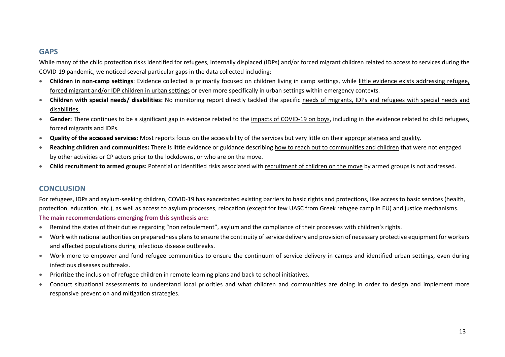# **GAPS**

While many of the child protection risks identified for refugees, internally displaced (IDPs) and/or forced migrant children related to access to services during the COVID-19 pandemic, we noticed several particular gaps in the data collected including:

- **Children in non-camp settings**: Evidence collected is primarily focused on children living in camp settings, while little evidence exists addressing refugee, forced migrant and/or IDP children in urban settings or even more specifically in urban settings within emergency contexts.
- **Children with special needs/ disabilities:** No monitoring report directly tackled the specific needs of migrants, IDPs and refugees with special needs and disabilities.
- **Gender:** There continues to be a significant gap in evidence related to the impacts of COVID-19 on boys, including in the evidence related to child refugees, forced migrants and IDPs.
- **Quality of the accessed services**: Most reports focus on the accessibility of the services but very little on their appropriateness and quality.
- **Reaching children and communities:** There is little evidence or guidance describing how to reach out to communities and children that were not engaged by other activities or CP actors prior to the lockdowns, or who are on the move.
- **Child recruitment to armed groups:** Potential or identified risks associated with recruitment of children on the move by armed groups is not addressed.

# **CONCLUSION**

For refugees, IDPs and asylum-seeking children, COVID-19 has exacerbated existing barriers to basic rights and protections, like access to basic services (health, protection, education, etc.), as well as access to asylum processes, relocation (except for few UASC from Greek refugee camp in EU) and justice mechanisms. **The main recommendations emerging from this synthesis are:**

- Remind the states of their duties regarding "non refoulement", asylum and the compliance of their processes with children's rights.
- Work with national authorities on preparedness plans to ensure the continuity of service delivery and provision of necessary protective equipment for workers and affected populations during infectious disease outbreaks.
- Work more to empower and fund refugee communities to ensure the continuum of service delivery in camps and identified urban settings, even during infectious diseases outbreaks.
- Prioritize the inclusion of refugee children in remote learning plans and back to school initiatives.
- Conduct situational assessments to understand local priorities and what children and communities are doing in order to design and implement more responsive prevention and mitigation strategies.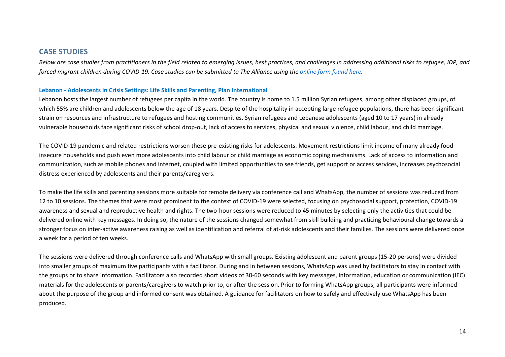## **CASE STUDIES**

*Below are case studies from practitioners in the field related to emerging issues, best practices, and challenges in addressing additional risks to refugee, IDP, and forced migrant children during COVID-19. Case studies can be submitted to The Alliance using the [online form found here.](https://docs.google.com/forms/d/e/1FAIpQLSfQBDAclNnRZEUrwSy4os_lHF71XBWiE3NMPZJ3F2pyx3x4ZA/viewform?usp=sf_link)* 

#### **Lebanon - Adolescents in Crisis Settings: Life Skills and Parenting, Plan International**

Lebanon hosts the largest number of refugees per capita in the world. The country is home to 1.5 million Syrian refugees, among other displaced groups, of which 55% are children and adolescents below the age of 18 years. Despite of the hospitality in accepting large refugee populations, there has been significant strain on resources and infrastructure to refugees and hosting communities. Syrian refugees and Lebanese adolescents (aged 10 to 17 years) in already vulnerable households face significant risks of school drop-out, lack of access to services, physical and sexual violence, child labour, and child marriage.

The COVID-19 pandemic and related restrictions worsen these pre-existing risks for adolescents. Movement restrictions limit income of many already food insecure households and push even more adolescents into child labour or child marriage as economic coping mechanisms. Lack of access to information and communication, such as mobile phones and internet, coupled with limited opportunities to see friends, get support or access services, increases psychosocial distress experienced by adolescents and their parents/caregivers.

To make the life skills and parenting sessions more suitable for remote delivery via conference call and WhatsApp, the number of sessions was reduced from 12 to 10 sessions. The themes that were most prominent to the context of COVID-19 were selected, focusing on psychosocial support, protection, COVID-19 awareness and sexual and reproductive health and rights. The two-hour sessions were reduced to 45 minutes by selecting only the activities that could be delivered online with key messages. In doing so, the nature of the sessions changed somewhat from skill building and practicing behavioural change towards a stronger focus on inter-active awareness raising as well as identification and referral of at-risk adolescents and their families. The sessions were delivered once a week for a period of ten weeks.

The sessions were delivered through conference calls and WhatsApp with small groups. Existing adolescent and parent groups (15-20 persons) were divided into smaller groups of maximum five participants with a facilitator. During and in between sessions, WhatsApp was used by facilitators to stay in contact with the groups or to share information. Facilitators also recorded short videos of 30-60 seconds with key messages, information, education or communication (IEC) materials for the adolescents or parents/caregivers to watch prior to, or after the session. Prior to forming WhatsApp groups, all participants were informed about the purpose of the group and informed consent was obtained. A guidance for facilitators on how to safely and effectively use WhatsApp has been produced.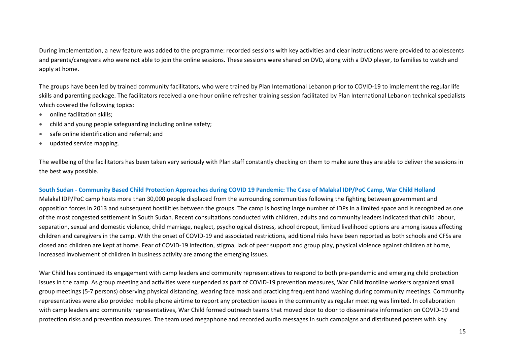During implementation, a new feature was added to the programme: recorded sessions with key activities and clear instructions were provided to adolescents and parents/caregivers who were not able to join the online sessions. These sessions were shared on DVD, along with a DVD player, to families to watch and apply at home.

The groups have been led by trained community facilitators, who were trained by Plan International Lebanon prior to COVID-19 to implement the regular life skills and parenting package. The facilitators received a one-hour online refresher training session facilitated by Plan International Lebanon technical specialists which covered the following topics:

- online facilitation skills:
- child and young people safeguarding including online safety;
- safe online identification and referral; and
- updated service mapping.

The wellbeing of the facilitators has been taken very seriously with Plan staff constantly checking on them to make sure they are able to deliver the sessions in the best way possible.

### **South Sudan - Community Based Child Protection Approaches during COVID 19 Pandemic: The Case of Malakal IDP/PoC Camp, War Child Holland**

Malakal IDP/PoC camp hosts more than 30,000 people displaced from the surrounding communities following the fighting between government and opposition forces in 2013 and subsequent hostilities between the groups. The camp is hosting large number of IDPs in a limited space and is recognized as one of the most congested settlement in South Sudan. Recent consultations conducted with children, adults and community leaders indicated that child labour, separation, sexual and domestic violence, child marriage, neglect, psychological distress, school dropout, limited livelihood options are among issues affecting children and caregivers in the camp. With the onset of COVID-19 and associated restrictions, additional risks have been reported as both schools and CFSs are closed and children are kept at home. Fear of COVID-19 infection, stigma, lack of peer support and group play, physical violence against children at home, increased involvement of children in business activity are among the emerging issues.

War Child has continued its engagement with camp leaders and community representatives to respond to both pre-pandemic and emerging child protection issues in the camp. As group meeting and activities were suspended as part of COVID-19 prevention measures, War Child frontline workers organized small group meetings (5-7 persons) observing physical distancing, wearing face mask and practicing frequent hand washing during community meetings. Community representatives were also provided mobile phone airtime to report any protection issues in the community as regular meeting was limited. In collaboration with camp leaders and community representatives, War Child formed outreach teams that moved door to door to disseminate information on COVID-19 and protection risks and prevention measures. The team used megaphone and recorded audio messages in such campaigns and distributed posters with key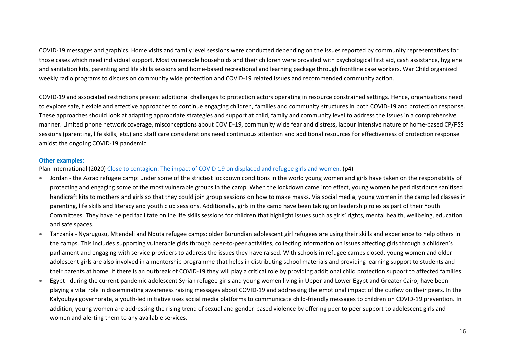COVID-19 messages and graphics. Home visits and family level sessions were conducted depending on the issues reported by community representatives for those cases which need individual support. Most vulnerable households and their children were provided with psychological first aid, cash assistance, hygiene and sanitation kits, parenting and life skills sessions and home-based recreational and learning package through frontline case workers. War Child organized weekly radio programs to discuss on community wide protection and COVID-19 related issues and recommended community action.

COVID-19 and associated restrictions present additional challenges to protection actors operating in resource constrained settings. Hence, organizations need to explore safe, flexible and effective approaches to continue engaging children, families and community structures in both COVID-19 and protection response. These approaches should look at adapting appropriate strategies and support at child, family and community level to address the issues in a comprehensive manner. Limited phone network coverage, misconceptions about COVID-19, community wide fear and distress, labour intensive nature of home-based CP/PSS sessions (parenting, life skills, etc.) and staff care considerations need continuous attention and additional resources for effectiveness of protection response amidst the ongoing COVID-19 pandemic.

### **Other examples:**

Plan International (2020) [Close to contagion: The impact of COVID-19 on displaced and refugee girls and women.](https://plan-international.org/publications/close-to-contagion) (p4)

- Jordan the Azraq refugee camp: under some of the strictest lockdown conditions in the world young women and girls have taken on the responsibility of protecting and engaging some of the most vulnerable groups in the camp. When the lockdown came into effect, young women helped distribute sanitised handicraft kits to mothers and girls so that they could join group sessions on how to make masks. Via social media, young women in the camp led classes in parenting, life skills and literacy and youth club sessions. Additionally, girls in the camp have been taking on leadership roles as part of their Youth Committees. They have helped facilitate online life skills sessions for children that highlight issues such as girls' rights, mental health, wellbeing, education and safe spaces.
- Tanzania Nyarugusu, Mtendeli and Nduta refugee camps: older Burundian adolescent girl refugees are using their skills and experience to help others in the camps. This includes supporting vulnerable girls through peer-to-peer activities, collecting information on issues affecting girls through a children's parliament and engaging with service providers to address the issues they have raised. With schools in refugee camps closed, young women and older adolescent girls are also involved in a mentorship programme that helps in distributing school materials and providing learning support to students and their parents at home. If there is an outbreak of COVID-19 they will play a critical role by providing additional child protection support to affected families.
- Egypt during the current pandemic adolescent Syrian refugee girls and young women living in Upper and Lower Egypt and Greater Cairo, have been playing a vital role in disseminating awareness raising messages about COVID-19 and addressing the emotional impact of the curfew on their peers. In the Kalyoubya governorate, a youth-led initiative uses social media platforms to communicate child-friendly messages to children on COVID-19 prevention. In addition, young women are addressing the rising trend of sexual and gender-based violence by offering peer to peer support to adolescent girls and women and alerting them to any available services.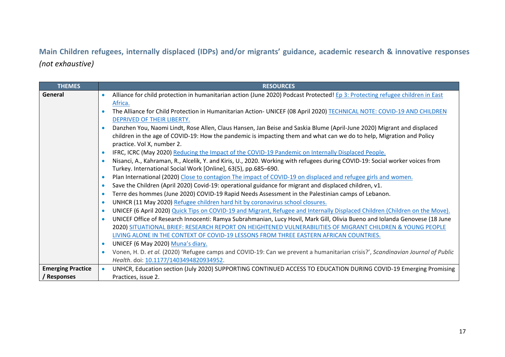**Main Children refugees, internally displaced (IDPs) and/or migrants' guidance, academic research & innovative responses**  *(not exhaustive)*

| <b>THEMES</b>            | <b>RESOURCES</b>                                                                                                                            |
|--------------------------|---------------------------------------------------------------------------------------------------------------------------------------------|
| General                  | Alliance for child protection in humanitarian action (June 2020) Podcast Protected! Ep 3: Protecting refugee children in East               |
|                          | Africa.                                                                                                                                     |
|                          | The Alliance for Child Protection in Humanitarian Action- UNICEF (08 April 2020) TECHNICAL NOTE: COVID-19 AND CHILDREN                      |
|                          | DEPRIVED OF THEIR LIBERTY.                                                                                                                  |
|                          | Danzhen You, Naomi Lindt, Rose Allen, Claus Hansen, Jan Beise and Saskia Blume (April-June 2020) Migrant and displaced                      |
|                          | children in the age of COVID-19: How the pandemic is impacting them and what can we do to help, Migration and Policy                        |
|                          | practice. Vol X, number 2.                                                                                                                  |
|                          | IFRC, ICRC (May 2020) Reducing the Impact of the COVID-19 Pandemic on Internally Displaced People.<br>$\bullet$                             |
|                          | Nisanci, A., Kahraman, R., Alcelik, Y. and Kiris, U., 2020. Working with refugees during COVID-19: Social worker voices from<br>$\bullet$   |
|                          | Turkey. International Social Work [Online], 63(5), pp.685-690.                                                                              |
|                          | Plan International (2020) Close to contagion The impact of COVID-19 on displaced and refugee girls and women.<br>$\bullet$                  |
|                          | Save the Children (April 2020) Covid-19: operational guidance for migrant and displaced children, v1.<br>$\bullet$                          |
|                          | Terre des hommes (June 2020) COVID-19 Rapid Needs Assessment in the Palestinian camps of Lebanon.<br>$\bullet$                              |
|                          | UNHCR (11 May 2020) Refugee children hard hit by coronavirus school closures.<br>$\bullet$                                                  |
|                          | UNICEF (6 April 2020) Quick Tips on COVID-19 and Migrant, Refugee and Internally Displaced Children (Children on the Move).<br>$\bullet$    |
|                          | UNICEF Office of Research Innocenti: Ramya Subrahmanian, Lucy Hovil, Mark Gill, Olivia Bueno and Iolanda Genovese (18 June<br>$\bullet$     |
|                          | 2020) SITUATIONAL BRIEF: RESEARCH REPORT ON HEIGHTENED VULNERABILITIES OF MIGRANT CHILDREN & YOUNG PEOPLE                                   |
|                          | LIVING ALONE IN THE CONTEXT OF COVID-19 LESSONS FROM THREE EASTERN AFRICAN COUNTRIES.                                                       |
|                          | UNICEF (6 May 2020) Muna's diary.<br>$\bullet$                                                                                              |
|                          | Vonen, H. D. et al. (2020) 'Refugee camps and COVID-19: Can we prevent a humanitarian crisis?', Scandinavian Journal of Public<br>$\bullet$ |
|                          | Health. doi: 10.1177/1403494820934952.                                                                                                      |
| <b>Emerging Practice</b> | UNHCR, Education section (July 2020) SUPPORTING CONTINUED ACCESS TO EDUCATION DURING COVID-19 Emerging Promising                            |
| / Responses              | Practices, issue 2.                                                                                                                         |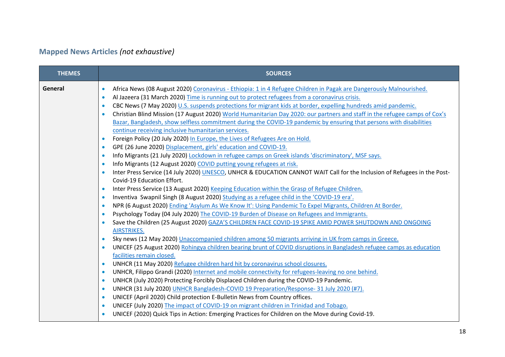# **Mapped News Articles** *(not exhaustive)*

| <b>THEMES</b> | <b>SOURCES</b>                                                                                                                          |
|---------------|-----------------------------------------------------------------------------------------------------------------------------------------|
| General       | Africa News (08 August 2020) Coronavirus - Ethiopia: 1 in 4 Refugee Children in Pagak are Dangerously Malnourished.                     |
|               | Al Jazeera (31 March 2020) Time is running out to protect refugees from a coronavirus crisis.<br>$\bullet$                              |
|               | CBC News (7 May 2020) U.S. suspends protections for migrant kids at border, expelling hundreds amid pandemic.<br>$\bullet$              |
|               | Christian Blind Mission (17 August 2020) World Humanitarian Day 2020: our partners and staff in the refugee camps of Cox's<br>$\bullet$ |
|               | Bazar, Bangladesh, show selfless commitment during the COVID-19 pandemic by ensuring that persons with disabilities                     |
|               | continue receiving inclusive humanitarian services.                                                                                     |
|               | Foreign Policy (20 July 2020) In Europe, the Lives of Refugees Are on Hold.<br>$\bullet$                                                |
|               | GPE (26 June 2020) Displacement, girls' education and COVID-19.<br>$\bullet$                                                            |
|               | Info Migrants (21 July 2020) Lockdown in refugee camps on Greek islands 'discriminatory', MSF says.<br>$\bullet$                        |
|               | Info Migrants (12 August 2020) COVID putting young refugees at risk.                                                                    |
|               | Inter Press Service (14 July 2020) UNESCO, UNHCR & EDUCATION CANNOT WAIT Call for the Inclusion of Refugees in the Post-<br>$\bullet$   |
|               | Covid-19 Education Effort.                                                                                                              |
|               | Inter Press Service (13 August 2020) Keeping Education within the Grasp of Refugee Children.<br>$\bullet$                               |
|               | Inventiva Swapnil Singh (8 August 2020) Studying as a refugee child in the 'COVID-19 era'.<br>$\bullet$                                 |
|               | NPR (6 August 2020) Ending 'Asylum As We Know It': Using Pandemic To Expel Migrants, Children At Border.<br>$\bullet$                   |
|               | Psychology Today (04 July 2020) The COVID-19 Burden of Disease on Refugees and Immigrants.<br>$\bullet$                                 |
|               | Save the Children (25 August 2020) GAZA'S CHILDREN FACE COVID-19 SPIKE AMID POWER SHUTDOWN AND ONGOING                                  |
|               | AIRSTRIKES.                                                                                                                             |
|               | Sky news (12 May 2020) Unaccompanied children among 50 migrants arriving in UK from camps in Greece.<br>$\bullet$                       |
|               | UNICEF (25 August 2020) Rohingya children bearing brunt of COVID disruptions in Bangladesh refugee camps as education<br>$\bullet$      |
|               | facilities remain closed.                                                                                                               |
|               | UNHCR (11 May 2020) Refugee children hard hit by coronavirus school closures.<br>$\bullet$                                              |
|               | UNHCR, Filippo Grandi (2020) Internet and mobile connectivity for refugees-leaving no one behind.<br>$\bullet$                          |
|               | UNHCR (July 2020) Protecting Forcibly Displaced Children during the COVID-19 Pandemic.<br>$\bullet$                                     |
|               | UNHCR (31 July 2020) UNHCR Bangladesh-COVID 19 Preparation/Response- 31 July 2020 (#7).<br>$\bullet$                                    |
|               | UNICEF (April 2020) Child protection E-Bulletin News from Country offices.<br>$\bullet$                                                 |
|               | UNICEF (July 2020) The impact of COVID-19 on migrant children in Trinidad and Tobago.                                                   |
|               | UNICEF (2020) Quick Tips in Action: Emerging Practices for Children on the Move during Covid-19.                                        |